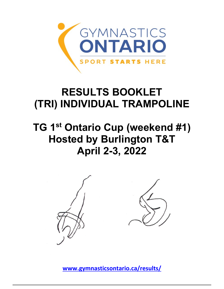

## **RESULTS BOOKLET (TRI) INDIVIDUAL TRAMPOLINE**

## **TG 1st Ontario Cup (weekend #1) Hosted by Burlington T&T April 2-3, 2022**



**[www.gymnasticsontario.ca/results/](https://www.gymnasticsontario.ca/results/)**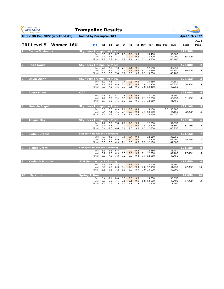| <b>GYMNASTICS</b><br><b>ONTARIO</b><br><b>SPORT STARTS HERE</b> | <b>Trampoline Results</b>                   |                       |                   |                   |                   |                   |                   |             |                                    |                |                                |                 |                         |
|-----------------------------------------------------------------|---------------------------------------------|-----------------------|-------------------|-------------------|-------------------|-------------------|-------------------|-------------|------------------------------------|----------------|--------------------------------|-----------------|-------------------------|
| TG 1st ON Cup 2022 (weekend #1)                                 | hosted by Burlington T&T                    |                       |                   |                   |                   |                   |                   |             |                                    |                |                                | April 1-3, 2022 |                         |
|                                                                 |                                             |                       |                   |                   |                   |                   |                   |             |                                    |                |                                |                 | Page 1                  |
| TRI Level 5 - Women 16U                                         | <b>P1</b>                                   | E1                    | E <sub>2</sub>    | E3                | E4                | H1                | H2                | <b>Diff</b> | <b>ToF</b>                         | <b>Bon Pen</b> | Sub                            | <b>Total</b>    | Posn                    |
| <b>Carina Shalamov</b><br>ш                                     | <b>Skyriders Trampoline Place</b>           |                       |                   |                   |                   |                   |                   |             |                                    |                |                                | 129.900         | $\mathbf{1}$            |
|                                                                 | <b>Set</b><br>Vol<br><b>Final</b>           | 8.5<br>7.4<br>7.7     | 8.8<br>7.6<br>7.8 | 8.7<br>7.7<br>8.1 | 7.9<br>7.2<br>7.8 | 9.3<br>9.4<br>9.1 | 9.3<br>9.4<br>9.1 |             | 13.400<br>7.1 13.400<br>7.1 13.300 |                | 39.900<br>44.900<br>45.100     | 84.800          | $\mathbf{1}$            |
| <b>Keira Gould</b><br>$\overline{2}$                            | <b>Skyriders Trampoline Place</b>           |                       |                   |                   |                   |                   |                   |             |                                    |                |                                | 127.000         | $\overline{\mathbf{2}}$ |
|                                                                 | <b>Set</b><br>Vol<br><b>Final</b>           | 7.0<br>7.0<br>6.9     | 7.0<br>6.9<br>7.2 | 7.3<br>7.2<br>7.8 | 7.4<br>7.0<br>8.0 | 9.1<br>9.3<br>9.5 | 9.1<br>9.3<br>9.5 |             | 12.550<br>8.2 13.350<br>8.2 13.500 |                | 35.950<br>44.850<br>46.200     | 80.800          | 6                       |
| Olivia Quinn<br>3                                               | <b>Skyriders Trampoline Place</b>           |                       |                   |                   |                   |                   |                   |             |                                    |                |                                | 126.150         | 3                       |
|                                                                 | <b>Set</b><br>Vol<br><b>Final</b>           | 6.9<br>7.1<br>7.3     | 7.3<br>6.7<br>7.3 | 7.5<br>6.9<br>7.6 | 7.4<br>7.1<br>7.7 | 9.3<br>8.5<br>9.1 | 9.3<br>8.5<br>9.1 |             | 13.650<br>7.8 12.950<br>7.8 13.450 |                | 37.650<br>43.250<br>45.250     | 80.900          | 5                       |
| <b>Avery Shaw</b>                                               | <b>OAA</b>                                  |                       |                   |                   |                   |                   |                   |             |                                    |                |                                | 123.000         | 4                       |
|                                                                 | <b>Set</b><br>Vol<br><b>Final</b>           | 7.6<br>7.2<br>6.7     | 8.0<br>7.3<br>6.5 | 8.1<br>7.4<br>7.1 | 7.5<br>6.9<br>6.3 | 9.5<br>9.0<br>8.5 | 9.5<br>9.0<br>8.5 |             | 13.000<br>7.1 12.850<br>7.1 12.650 |                | 38.100<br>43.450<br>41.450     | 81.550          | 3                       |
| <b>Melanie Edgell</b><br>5                                      | <b>Skyriders Trampoline Place</b>           |                       |                   |                   |                   |                   |                   |             |                                    |                |                                | 122.100         | $\overline{5}$          |
|                                                                 | <b>Set</b><br>Vol<br><b>Final</b>           | 6.8<br>7.4<br>7.3     | 7.0<br>7.4<br>7.3 | 6.9<br>7.5<br>7.3 | 7.6<br>7.4<br>7.9 | 8.9<br>9.0<br>8.8 | 8.9<br>9.0<br>8.8 |             | 13.100<br>7.1 13.250<br>7.1 13.550 |                | 2.0 33.900<br>44.150<br>44.050 | 78.050          | 8                       |
| <b>Abigail May</b><br>6                                         | <b>Skyriders Trampoline Place</b>           |                       |                   |                   |                   |                   |                   |             |                                    |                |                                | 122.100         | $\boldsymbol{6}$        |
|                                                                 | <b>Set</b><br>Vol<br><b>Final</b>           | 7.2<br>7.1<br>6.4     | 7.7<br>7.3<br>6.6 | 7.8<br>7.4<br>6.6 | 7.7<br>7.3<br>6.6 | 9.5<br>9.4<br>9.0 | 9.5<br>9.4<br>9.0 |             | 12.650<br>7.4 12.400<br>6.2 12.350 |                | 37.550<br>43.800<br>40.750     | 81.350          | 4                       |
| <b>Sydni Burgess</b><br>7                                       | <b>Burlington Trampoline &amp; Tumbling</b> |                       |                   |                   |                   |                   |                   |             |                                    |                |                                | 121.150         | $\overline{z}$          |
|                                                                 | <b>Set</b><br>Vol<br>Final                  | 7.7<br>6.9<br>6.5     | 8.2<br>7.1<br>7.0 | 7.4<br>6.9<br>6.9 | 7.6<br>7.2<br>7.1 | 9.4<br>9.0<br>8.6 | 9.4<br>9.0<br>8.6 |             | 12.250<br>7.2 12.200<br>7.2 12.100 |                | 36.950<br>42.400<br>41.800     | 79.350          | $\overline{z}$          |
| <b>Sienna Grant</b><br>8                                        | <b>Burlington Trampoline &amp; Tumbling</b> |                       |                   |                   |                   |                   |                   |             |                                    |                |                                | 121.100         | 8                       |
|                                                                 | Vol<br><b>Final</b>                         | Set 6.1<br>6.2<br>6.9 | 6.8<br>6.5<br>7.0 | 6.8<br>6.9<br>7.3 | 7.1<br>6.5<br>7.2 | 9.2<br>9.3<br>9.3 | 9.2<br>9.3<br>9.3 |             | 12.650<br>7.1 12.800<br>7.1 12.850 |                | 35.450<br>42.200<br>43.450     | 77.650          | 9                       |
| <b>Kaeleigh Murphy</b><br>$\overline{9}$                        | <b>AIM Gymnastics Pickering</b>             |                       |                   |                   |                   |                   |                   |             |                                    |                |                                | 119.650         | $\boldsymbol{9}$        |
|                                                                 | <b>Set</b><br>Vol<br><b>Final</b>           | 7.3<br>6.0<br>6.5     | 7.4<br>6.0<br>6.3 | 7.5<br>6.3<br>7.2 | 7.3<br>6.4<br>6.9 | 8.3<br>9.0<br>8.9 | 8.3<br>9.0<br>8.9 |             | 13.100<br>7.0 12.950<br>7.0 13.000 |                | 36.100<br>41.250<br>42.300     | 77.350          | 10                      |
| <b>Lily Kurtz</b><br>10                                         | <b>Spring Action</b>                        |                       |                   |                   |                   |                   |                   |             |                                    |                |                                | 94.050          | 10                      |
|                                                                 | <b>Set</b><br>Vol<br><b>Final</b>           | 8.4<br>6.9<br>1.5     | 8.1<br>6.9<br>1.5 | 8.0<br>7.1<br>1.5 | 8.3<br>7.0<br>1.5 | 9.0<br>9.1<br>1.9 | 9.0<br>9.1<br>1.9 |             | 13.550<br>8.8 13.600<br>2.1 2.700  |                | 38.950<br>45.400<br>9.700      | 84.350          | $\overline{2}$          |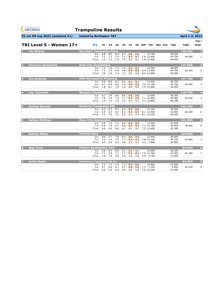| <b>GYMNASTICS</b><br><b>ONTARIO</b><br><b>SPORT STARTS HERE</b> | <b>Trampoline Results</b>         |                   |                       |                   |                   |                         |                   |                     |                                    |                |                            |                 |                         |
|-----------------------------------------------------------------|-----------------------------------|-------------------|-----------------------|-------------------|-------------------|-------------------------|-------------------|---------------------|------------------------------------|----------------|----------------------------|-----------------|-------------------------|
| TG 1st ON Cup 2022 (weekend #1)                                 | hosted by Burlington T&T          |                   |                       |                   |                   |                         |                   |                     |                                    |                |                            | April 1-3, 2022 |                         |
|                                                                 |                                   |                   |                       |                   |                   |                         |                   |                     |                                    |                |                            |                 | Page 1                  |
| TRI Level 5 - Women 17+                                         | <b>P1</b>                         | E1                | E2                    | E3                | E4                | H1                      |                   | H <sub>2</sub> Diff | ToF                                | <b>Bon Pen</b> | Sub                        | <b>Total</b>    | Posn                    |
| <b>Lily Bishop</b>                                              | <b>Skyriders Trampoline Place</b> |                   |                       |                   |                   |                         |                   |                     |                                    |                |                            | 128.450         | $\mathbf{1}$            |
|                                                                 | <b>Set</b><br>Vol<br>Final        | 8.8<br>7.2<br>7.2 | 8.5<br>7.2<br>7.3     | 8.4<br>7.3<br>7.5 | 8.3<br>7.5        | 9.6<br>$7.1$ 9.7<br>9.2 | 9.6<br>9.7<br>9.2 |                     | 12.750<br>7.8 12.850<br>7.8 12.650 |                | 39.250<br>44.750<br>44.450 | 84.000          | $\mathbf{1}$            |
| <b>Ceccacci Jacqueline</b>                                      | <b>Rose City Gymnastics</b>       |                   |                       |                   |                   |                         |                   |                     |                                    |                |                            | 127.900         | $\overline{\mathbf{2}}$ |
|                                                                 | <b>Set</b><br>Vol<br>Final        | 7.9<br>7.1<br>7.0 | 7.6<br>7.0<br>7.0     | 7.9<br>6.9<br>7.3 | 7.6<br>7.0<br>7.2 | 9.2<br>8.9<br>9.0       | 9.2<br>8.9<br>9.0 |                     | 13.300<br>8.4 13.400<br>8.4 13.600 |                | 38.000<br>44.700<br>45.200 | 82,700          | $\overline{4}$          |
| <b>Zoe McBride</b><br>B                                         | <b>AIM Gymnastics Pickering</b>   |                   |                       |                   |                   |                         |                   |                     |                                    |                |                            | 127.700         | 3                       |
|                                                                 | <b>Set</b><br>Vol<br>Final        | 9.0<br>8.1<br>7.8 | 8.0<br>8.0<br>8.1     | 8.2<br>8.0<br>7.9 | 8.4<br>7.9<br>7.9 | 9.1<br>9.0<br>8.8       | 9.1<br>9.0<br>8.8 |                     | 13.050<br>7.0 12.750<br>7.0 12.600 |                | 38.750<br>44.750<br>44.200 | 83.500          | 3                       |
| Lea Gurowka                                                     | <b>Manjak's Gymnastics</b>        |                   |                       |                   |                   |                         |                   |                     |                                    |                |                            | 126.750         | $\overline{\mathbf{4}}$ |
|                                                                 | <b>Set</b><br>Vol<br>Final        | 8.1<br>7.6<br>7.4 | 7.9<br>7.6<br>7.4     | 8.0<br>7.4<br>7.6 | 8.0<br>7.1<br>7.5 | 9.6<br>9.5<br>9.3       | 9.6<br>9.5<br>9.3 |                     | 12.650<br>7.1 12.800<br>7.1 12.800 |                | 38.250<br>44.400<br>44.100 | 82.650          | 5                       |
| <b>Sydney Bendall</b>                                           | <b>Airborne Trampoline KW</b>     |                   |                       |                   |                   |                         |                   |                     |                                    |                |                            | 126.450         | 5                       |
|                                                                 | Set.<br>Vol<br>Final              | 8.3<br>6.9<br>7.2 | 8.5<br>6.5<br>7.0     | 8.4<br>6.6<br>7.2 | 8.2<br>6.2<br>6.5 | 9.5<br>9.2<br>9.3       | 9.5<br>9.2<br>9.3 |                     | 13.150<br>8.1 12.450<br>8.1 12.650 |                | 39.350<br>42.850<br>44.250 | 82.200          | 6                       |
| 6<br><b>Ashley Mailloux</b>                                     | <b>Rose City Gymnastics</b>       |                   |                       |                   |                   |                         |                   |                     |                                    |                |                            | 121.000         | 6                       |
|                                                                 | <b>Set</b><br>Vol<br><b>Final</b> | 6.8<br>6.8<br>6.6 | 7.0<br>7.0<br>6.6     | 7.2<br>6.7<br>6.6 | 6.6<br>6.8<br>6.7 | 8.6<br>8.4<br>8.2       | 8.6<br>8.4<br>8.2 |                     | 13.550<br>7.2 13.750<br>7.3 13.400 |                | 35.950<br>42.950<br>42.100 | 78.900          | 8                       |
| <b>Katrien Milne</b><br>7                                       | <b>Vertical Zone</b>              |                   |                       |                   |                   |                         |                   |                     |                                    |                |                            | 109.850         | $\overline{\mathbf{z}}$ |
|                                                                 | Set<br>Vol<br>Final               | 8.0<br>7.0<br>4.4 | 7.7<br>7.4<br>4.2     | 7.8<br>7.5<br>4.2 | 8.4<br>4.6        | 9.4<br>$7.7$ 9.4<br>5.3 | 9.4<br>9.4<br>5.3 |                     | 13.400<br>7.8 13.150<br>4.3 7.800  |                | 38.600<br>45.250<br>26.000 | 83.850          | $\overline{2}$          |
| <b>Meg Turai</b><br>8                                           | <b>Pulsars Gymnastics Club</b>    |                   |                       |                   |                   |                         |                   |                     |                                    |                |                            | 94.650          | 8                       |
|                                                                 | <b>Set</b><br>Vol<br><b>Final</b> | 8.0<br>7.1<br>1.8 | 8.3<br>6.9<br>1.8     | 8.0<br>7.1<br>2.0 | 8.1<br>7.1<br>2.0 | 9.1<br>9.2<br>2.8       | 9.1<br>9.2<br>2.8 |                     | 12.900<br>7.6 12.300<br>2.9 3.750  |                | 38.100<br>43.300<br>13.250 | 81.400          | $\overline{z}$          |
| $\boldsymbol{9}$<br><b>Anisa Begiri</b>                         | Just Bounce Trampoline Club Inc.  |                   |                       |                   |                   |                         |                   |                     |                                    |                |                            | 83.850          | $\overline{9}$          |
|                                                                 | Vol<br>Final                      | Set 7.3<br>0.7    | 7.2<br>0.6<br>5.9 5.6 | 7.4<br>0.7<br>6.3 | 7.3<br>0.7<br>5.9 | 8.9<br>0.8<br>9.0       | 8.9<br>0.8<br>9.0 |                     | 13.900<br>1.3 1.350<br>7.6 13.200  |                | 37.400<br>4.850<br>41.600  | 42.250          | 9                       |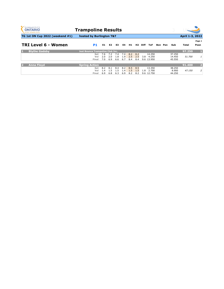| <b>GYMNASTICS</b><br><b>ONTARIO</b><br><b>SPORT STARTS HERE</b> | <b>Trampoline Results</b>               |     |                |     |      |     |     |             |            |         |        |                 |                |
|-----------------------------------------------------------------|-----------------------------------------|-----|----------------|-----|------|-----|-----|-------------|------------|---------|--------|-----------------|----------------|
| TG 1st ON Cup 2022 (weekend #1)                                 | hosted by Burlington T&T                |     |                |     |      |     |     |             |            |         |        | April 1-3, 2022 |                |
|                                                                 |                                         |     |                |     |      |     |     |             |            |         |        |                 | Page 1         |
| <b>TRI Level 6 - Women</b>                                      | <b>P1</b>                               | E1  | E <sub>2</sub> | E3  | E4   | H1  | H2  | <b>Diff</b> | <b>ToF</b> | Bon Pen | Sub    | Total           | Posn           |
| <b>Blythe Gadsby</b><br>и                                       | <b>Just Bounce Trampoline Club Inc.</b> |     |                |     |      |     |     |             |            |         |        | 97.250          |                |
|                                                                 | <b>Set</b>                              | 7.6 | 7.2            | 7.4 | 7.4  | 8.2 | 8.2 |             | 14.250     |         | 37.250 |                 |                |
|                                                                 | Vol                                     | 2.0 | 2.0            | 1.8 | 1.9  | 2.5 | 2.5 | 3.8         | 4.250      |         | 14.450 | 51.700          | $1\,$          |
|                                                                 | Final                                   | 7.0 | 6.9            | 6.6 | 6.7  | 8.4 | 8.4 |             | 9.6 13.950 |         | 45.550 |                 |                |
| <b>Anna Floyd</b><br>12                                         | <b>Spring Action</b>                    |     |                |     |      |     |     |             |            |         |        | 91.400          | $\overline{2}$ |
|                                                                 | <b>Set</b>                              | 8.2 | 8.1            | 8.4 | 8.2  | 8.5 | 8.5 |             | 13.350     |         | 38.250 |                 |                |
|                                                                 | Vol                                     | 1.4 | I.5            | 1.5 | l .4 | 1.5 | 1.5 | 1.8         | 2.700      |         | 8.900  | 47.150          | $\overline{2}$ |
|                                                                 | Final                                   | 6.9 | 6.8            | 6.3 | 6.9  | 8.2 | 8.2 |             | 9.6 12.750 |         | 44.250 |                 |                |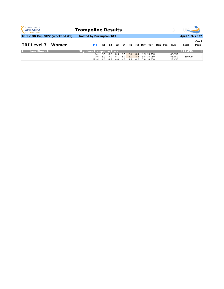| <b>GYMNASTICS</b><br><b>ONTARIO</b><br><b>SPORT STARTS HERE</b> | <b>Trampoline Results</b>         |            |     |                |     |                   |         |         |                          |                |                  |                        |                |
|-----------------------------------------------------------------|-----------------------------------|------------|-----|----------------|-----|-------------------|---------|---------|--------------------------|----------------|------------------|------------------------|----------------|
| <b>TG 1st ON Cup 2022 (weekend #1)</b>                          | hosted by Burlington T&T          |            |     |                |     |                   |         |         |                          |                |                  | <b>April 1-3, 2022</b> |                |
| <b>TRI Level 7 - Women</b>                                      | P1                                | E1         | E2  | E3             | E4  | H1                |         | H2 Diff | ToF                      | <b>Bon Pen</b> | Sub              | Total                  | Page 1<br>Posn |
| <b>Liana Pinnock</b>                                            | <b>Skyriders Trampoline Place</b> |            |     |                |     |                   |         |         |                          |                |                  | 117.450                |                |
|                                                                 | Set.<br>Vol                       | 8.5<br>8.0 | 7.9 | 8.6 8.5<br>8.1 | 8.1 | $8.5$ $8.4$ $8.4$ | 8.2 8.2 |         | 1.5 13.950<br>9.8 14.050 |                | 40.850<br>48.150 | 89,000                 | $\mathbf{1}$   |

**Final** 4.6 4.8 4.8 4.2 4.7 4.7 5.8 8.550 28.450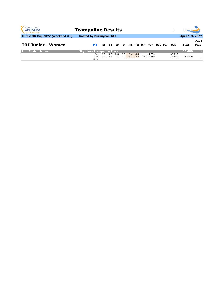| <b>GYMNASTICS</b><br><b>ONTARIO</b><br><b>SPORT STARTS HERE</b> | <b>Trampoline Results</b>         |            |                |            |                        |       |            |      |                     |         |                  |                 |                |
|-----------------------------------------------------------------|-----------------------------------|------------|----------------|------------|------------------------|-------|------------|------|---------------------|---------|------------------|-----------------|----------------|
| <b>TG 1st ON Cup 2022 (weekend #1)</b>                          | hosted by Burlington T&T          |            |                |            |                        |       |            |      |                     |         |                  | April 1-3, 2022 |                |
|                                                                 |                                   |            |                |            |                        |       |            |      |                     |         |                  |                 | Page 1         |
| <b>TRI Junior - Women</b>                                       | <b>P1</b>                         | E1         | E <sub>2</sub> | E3         |                        | E4 H1 | <b>H2</b>  | Diff | <b>ToF</b>          | Bon Pen | Sub              | Total           | Posn           |
| <b>Roshni James</b>                                             | <b>Skyriders Trampoline Place</b> |            |                |            |                        |       |            |      |                     |         |                  | 55.400          |                |
|                                                                 | <b>Set</b><br>Vol<br><b>Final</b> | 8.5<br>2.2 | 8.8<br>2.1     | 8.6<br>2.1 | 8.7 8.4<br>$2.3$ $2.4$ |       | 8.4<br>2.4 |      | 15.050<br>3.5 4.450 |         | 40.750<br>14.650 | 55,400          | 1 <sup>1</sup> |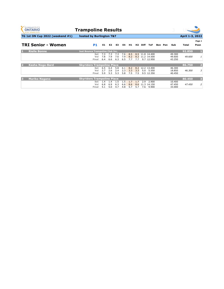| <b>GYMNASTICS</b><br><b>ONTARIO</b><br><b>SPORT STARTS HERE</b> | <b>Trampoline Results</b>               |                   |                |     |     |     |     |      |                 |                |        |                 |                         |
|-----------------------------------------------------------------|-----------------------------------------|-------------------|----------------|-----|-----|-----|-----|------|-----------------|----------------|--------|-----------------|-------------------------|
| TG 1st ON Cup 2022 (weekend #1)                                 | hosted by Burlington T&T                |                   |                |     |     |     |     |      |                 |                |        | April 1-3, 2022 |                         |
|                                                                 |                                         |                   |                |     |     |     |     |      |                 |                |        |                 | Page 1                  |
| <b>TRI Senior - Women</b>                                       | <b>P1</b>                               | E1                | E <sub>2</sub> | E3  | E4  | H1  | H2  | Diff | ToF             | <b>Bon Pen</b> | Sub    | Total           | Posn                    |
| <b>Rielle Bonne</b>                                             | <b>Just Bounce Trampoline Club Inc.</b> |                   |                |     |     |     |     |      |                 |                |        | 92.850          | L.                      |
|                                                                 |                                         | <b>Set</b><br>7.3 | 7.3            | 7.3 | 7.6 | 8.5 |     |      | 8.5 11.8 14.400 |                | 49.300 |                 |                         |
|                                                                 |                                         | 7.8<br>Vol        | 7.9            | 7.6 | 7.9 | 8.2 |     |      | 8.2 11.2 14.500 |                | 49.600 | 49.600          | 1                       |
|                                                                 | Final                                   | 6.4               | 6.6            | 6.3 | 6.5 | 7.7 | 7.7 |      | 9.7 12.950      |                | 43.250 |                 |                         |
| <b>Kasha Noga-Bard</b>                                          | <b>Skyriders Trampoline Place</b>       |                   |                |     |     |     |     |      |                 |                |        | 86.750          | $\overline{2}$          |
|                                                                 |                                         | 6.5<br><b>Set</b> | 6.4            | 5.8 | 6.1 | 8.2 | 8.2 |      | 12.2 13.400     |                | 46.300 |                 |                         |
|                                                                 |                                         | 2.7<br>Vol        | 2.6            | 2.4 | 2.3 | 3.3 | 3.3 |      | 5.0 5.550       |                | 18.850 | 46.300          | 3                       |
|                                                                 | Final                                   | 5.9               | 5.3            | 5.3 | 5.8 | 7.5 | 7.5 |      | 9.5 12.350      |                | 40.450 |                 |                         |
|                                                                 |                                         |                   |                |     |     |     |     |      |                 |                |        |                 |                         |
| <b>Mariko Nagano</b><br>B                                       | <b>Skyriders Trampoline Place</b>       |                   |                |     |     |     |     |      |                 |                |        | 80.450          | $\overline{\mathbf{3}}$ |
|                                                                 |                                         | 1.4<br><b>Set</b> | 1.4            | 1.5 | 1.5 | 1.7 | 1.7 | 2.9  | 2.900           |                | 10.400 |                 |                         |
|                                                                 |                                         | 6.8<br>Vol        | 6.9            | 6.3 | 6.6 | 8.6 | 8.6 | 11.3 | 14.150          |                | 47.450 | 47.450          | $\overline{2}$          |
|                                                                 | Final                                   | 5.1               | 5.0            | 4.7 | 4.8 | 5.7 | 5.7 | 7.6  | 9.900           |                | 33.000 |                 |                         |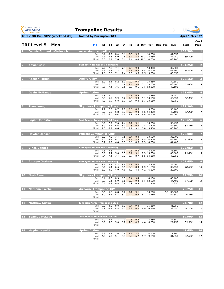| <b>GYMNASTICS</b><br><b>ONTARIO</b><br><b>SPORT STARTS HERE</b> | <b>Trampoline Results</b>                                                                                                                                                                               |                            |                 |                         |
|-----------------------------------------------------------------|---------------------------------------------------------------------------------------------------------------------------------------------------------------------------------------------------------|----------------------------|-----------------|-------------------------|
| TG 1st ON Cup 2022 (weekend #1)                                 | hosted by Burlington T&T                                                                                                                                                                                |                            | April 1-3, 2022 |                         |
| <b>TRI Level 5 - Men</b>                                        | <b>P1</b><br>E1<br>E <sub>2</sub><br>E3<br>E4<br>H1<br>H <sub>2</sub> Diff<br><b>ToF</b><br><b>Bon Pen</b>                                                                                              | Sub                        | <b>Total</b>    | Page 1<br>Posn          |
| <b>Dennis Gordenko-Sedevich</b>                                 | ascension trampoline                                                                                                                                                                                    |                            | 138.300         |                         |
|                                                                 | 8.4<br>8.1<br>8.9<br>9.1<br>9.6<br>9.6<br>14.750<br><b>Set</b><br>8.7 10.2 14.450<br>7.3<br>6.9<br>7.8<br>8.7<br>Vol<br>7.1<br>8.0<br>7.7<br>7.6<br>8.1<br>8.4 10.2 14.600<br>8.4<br><b>Final</b>       | 41.650<br>47.750<br>48.900 | 89.400          | 1                       |
| <b>Xavier Bair</b>                                              | <b>Burlington Trampoline &amp; Tumbling</b>                                                                                                                                                             |                            | 131.250         | $\overline{\mathbf{2}}$ |
|                                                                 | 7.4<br>7.4<br>9.3<br>9.3<br>13.400<br>7.5<br><b>Set</b><br>7.2<br>7.2<br>7.3<br>7.2<br>9.5<br>9.5<br>7.3<br>8.8 14.100<br>Vol<br>7.6<br>7.1<br>7.4<br>7.8<br>9.5<br>9.5<br>8.5 13.850<br><b>Final</b>   | 37.500<br>46.900<br>46.850 | 84.400          | 3                       |
| <b>Keegan Turpin</b><br>3                                       | <b>Anti-Gravity</b>                                                                                                                                                                                     |                            | 128.150         | 3                       |
|                                                                 | 8.2<br>8.1<br>13.450<br>8.0<br>8.4<br>9.9<br>9.9<br><b>Set</b><br>6.5<br>7.1<br>6.9<br>9.4<br>7.0<br>9.4<br>7.1 13.000<br>Vol<br>7.8<br>7.4<br>7.6<br>7.6<br>9.6<br>9.6<br>7.1 13.200<br><b>Final</b>   | 39.650<br>43.400<br>45.100 | 83.050          | 5                       |
| <b>Gavin McManus</b><br>$\vert 4 \vert$                         | <b>Spring Action</b>                                                                                                                                                                                    |                            | 128.050         | 4                       |
|                                                                 | 7.8<br>8.0<br>7.7<br>7.7<br>9.6<br>9.6<br>13.650<br><b>Set</b><br>5.9<br>6.2<br>6.3<br>6.1<br>9.0<br>9.0<br>Vol<br>9.1 13.150<br>7.0<br>6.8<br>6.7<br>6.9<br>9.4<br>9.4<br>9.1 13.550<br><b>Final</b>   | 38.750<br>43.550<br>45.750 | 82.300          | $\overline{z}$          |
| <b>Theo Leung</b><br>5                                          | <b>Skyriders Trampoline Place</b>                                                                                                                                                                       |                            | 127.200         | 5                       |
|                                                                 | 7.8<br>8.7<br>7.7<br>8.8<br>8.8<br>13.800<br><b>Set</b><br>7.7<br>5.8<br>5.7<br>9.3<br>6.2<br>6.0<br>9.3<br>9.6 14.400<br>Vol<br>6.2<br>6.0<br>6.4<br>6.6<br>8.9<br>8.9<br>8.4 14.100<br>Final          | 38.100<br>45.100<br>44.000 | 83.200          | 4                       |
| 6<br><b>Logan Johnston</b>                                      | <b>Just Bounce Trampoline Club Inc.</b>                                                                                                                                                                 |                            | 126.650         | $6\phantom{1}$          |
|                                                                 | 13.850<br>7.6<br>7.4<br>9.1<br>9.1<br>8.0<br>7.9<br><b>Set</b><br>6.6<br>6.3<br>6.9<br>7.2<br>9.5<br>9.5<br>7.8 13.500<br>Vol<br>6.9<br>6.6<br>6.7<br>7.0<br>9.1<br>9.1<br>7.8 13.400<br><b>Final</b>   | 38.450<br>44.300<br>43.900 | 82.750          | 6                       |
| <b>Hayden Jensen</b><br>7                                       | <b>Pulsars Gymnastics Club</b>                                                                                                                                                                          |                            | 126.000         | $\overline{\mathbf{z}}$ |
|                                                                 | 6.9<br>7.0<br>7.5<br>13.900<br><b>Set</b><br>7.4<br>8.4<br>8.4<br>6.7<br>6.7<br>6.2<br>6.5<br>8.5<br>8.5<br>8.5 14.700<br>Vol<br>6.7<br>6.7<br>6.8<br>6.9<br>8.8<br>8.8<br>7.3 14.800<br><b>Final</b>   | 36.700<br>44.900<br>44.400 | 81.600          | 8                       |
| <b>Vince Gandza</b><br>8                                        | <b>Burlington Trampoline &amp; Tumbling</b>                                                                                                                                                             |                            | 125.950         | 8                       |
|                                                                 | 14.200<br>7.6<br>7.6<br>7.4<br>7.3<br>9.6<br>9.6<br><b>Set</b><br>5.6<br>5.5<br>9.1<br>6.0<br>5.4<br>9.1<br>7.3 13.300<br>Vol<br>7.4<br>7.3<br>7.4<br>7.4<br>8.7<br>8.7<br>8.5 14.350<br><b>Final</b>   | 38.800<br>40.800<br>46.350 | 79.600          | 9                       |
| <b>Andrew Graham</b><br>$\overline{9}$                          | <b>Burlington Trampoline &amp; Tumbling</b>                                                                                                                                                             |                            | 101.450         | 9                       |
|                                                                 | 8.4<br>13.300<br>8.4<br>8.2<br>9.3<br>9.3<br>8.1<br><b>Set</b><br>6.5<br>6.6<br>6.4<br>6.1<br>8.3<br>8.3<br>6.5 11.750<br>Vol<br>4.0<br>3.9<br>4.0<br>4.0<br>4.0<br>4.0<br>4.2<br>6.600<br><b>Final</b> | 39.200<br>39.450<br>22.800 | 78.650          | 10                      |
| <b>Noah Isaac</b><br><b>10</b>                                  | <b>Skyriders Trampoline Place</b>                                                                                                                                                                       |                            | 89.750          | 10                      |
|                                                                 | 8.3<br>8.3<br>8.3<br>8.1<br>9.4<br>9.4<br>14.100<br><b>Set</b><br>6.3<br>5.9<br>6.0<br>9.2<br>9.2<br>6.4<br>9.1 13.800<br>Vol<br>0.7<br>0.8<br>0.8<br>0.8<br>0.9<br>0.9<br>1.3 1.450<br>Final           | 40.100<br>44.400<br>5.250  | 84.500          | 2                       |
| <b>Nathaniel Weber</b><br>11                                    | <b>Airborne Trampoline KW</b>                                                                                                                                                                           |                            | 76.250          | $11$                    |

**Set** 6.5 6.6 6.8 6.6 9.1 9.1 13.600 2.0 33.900

| VO.   | b.U | ◡.∠ | E O<br>J.v | <u>.</u><br>the contract of the contract of the contract of | $\Omega$ | $\sim$ $\sim$<br>. .<br>the control of the control of the control of | 13.250<br>O -<br>. O. . | 17 R.N<br>47<br>12.JJU | 76.250 |  |
|-------|-----|-----|------------|-------------------------------------------------------------|----------|----------------------------------------------------------------------|-------------------------|------------------------|--------|--|
| Fina. |     |     |            |                                                             |          |                                                                      |                         |                        |        |  |
|       |     |     |            |                                                             |          |                                                                      |                         |                        |        |  |

| 12 | <b>Matthew Susko</b> | <b>Kingston Aeros Trampoline Club</b> |  |  |                             |                                                  |                  | 74.700 | $12 \overline{)}$ |
|----|----------------------|---------------------------------------|--|--|-----------------------------|--------------------------------------------------|------------------|--------|-------------------|
|    |                      |                                       |  |  | Set 8.2 8.0 8.8 8.3 9.4 9.4 | 15.350<br>Vol 4.9 4.9 4.8 5.1 6.2 6.2 6.9 10.550 | 41.250<br>33.450 | 74.700 | 12 <sup>1</sup>   |
|    |                      | <b>Final</b>                          |  |  |                             |                                                  |                  |        |                   |

| 14 Hayden Hewitt | <b>Spring Action</b> |  |  |                             |  |                                       |        | 43.650 | 14              |
|------------------|----------------------|--|--|-----------------------------|--|---------------------------------------|--------|--------|-----------------|
|                  |                      |  |  | Set 2.3 2.5 2.6 2.5 2.7 2.7 |  | 4.100                                 | 11.800 |        |                 |
|                  |                      |  |  |                             |  | Vol 4.8 5.0 5.1 5.3 6.2 6.2 5.7 9.850 | 31.850 | 43.650 | 14 <sup>1</sup> |
|                  | <b>Final</b>         |  |  |                             |  |                                       |        |        |                 |

| 13 Seamus McKeag | <b>Just Bounce Trampoline Club Inc.</b> |  |  |                             |                                       |        | 59.900 | 13              |
|------------------|-----------------------------------------|--|--|-----------------------------|---------------------------------------|--------|--------|-----------------|
|                  |                                         |  |  | Set 7.0 7.2 7.3 7.3 9.6 9.6 | 13.550                                | 37.650 |        |                 |
|                  |                                         |  |  |                             | Vol 3.0 3.3 3.0 3.2 4.6 4.6 4.6 6.850 | 22.250 | 59.900 | 13 <sup>1</sup> |
|                  | <b>Final</b>                            |  |  |                             |                                       |        |        |                 |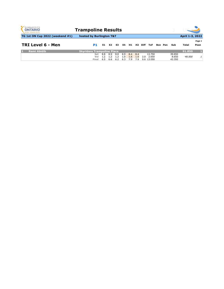| <b>GYMNASTICS</b><br><b>ONTARIO</b><br><b>SPORT STARTS HERE</b> | <b>Trampoline Results</b>         |                    |                   |                   |                   |                   |                     |     |                               |                |                           |                 |                |
|-----------------------------------------------------------------|-----------------------------------|--------------------|-------------------|-------------------|-------------------|-------------------|---------------------|-----|-------------------------------|----------------|---------------------------|-----------------|----------------|
| <b>TG 1st ON Cup 2022 (weekend #1)</b>                          | hosted by Burlington T&T          |                    |                   |                   |                   |                   |                     |     |                               |                |                           | April 1-3, 2022 |                |
| TRI Level 6 - Men                                               | P1                                | E1                 | E2                | E3                | E4                | H1                | H <sub>2</sub> Diff |     | ToF                           | <b>Bon Pen</b> | Sub                       | Total           | Page 1<br>Posn |
| <b>Remi Abidib</b>                                              | <b>Skyriders Trampoline Place</b> |                    |                   |                   |                   |                   |                     |     |                               |                |                           | 91.850          |                |
|                                                                 | <b>Set</b><br>Vol<br>Final        | -8.8<br>1.2<br>6.5 | 8.9<br>1.2<br>6.6 | 8.8<br>1.2<br>6.2 | 8.9<br>1.0<br>6.3 | 8.4<br>1.6<br>7.9 | 8.4<br>1.6<br>7.9   | 2.0 | 13.750<br>2.650<br>9.6 13.050 |                | 39.850<br>8.650<br>43.350 | 48.500          |                |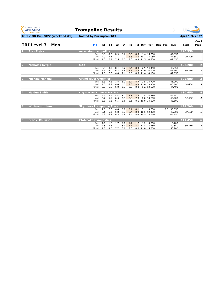| <b>GYMNASTICS</b><br><b>ONTARIO</b><br><b>SPORT STARTS HERE</b> | <b>Trampoline Results</b>             |                   |                   |                   |                   |                   |            |     |                                                  |  |                |                            |                 |                         |
|-----------------------------------------------------------------|---------------------------------------|-------------------|-------------------|-------------------|-------------------|-------------------|------------|-----|--------------------------------------------------|--|----------------|----------------------------|-----------------|-------------------------|
| TG 1st ON Cup 2022 (weekend #1)                                 | hosted by Burlington T&T              |                   |                   |                   |                   |                   |            |     |                                                  |  |                |                            | April 1-3, 2022 |                         |
|                                                                 |                                       |                   |                   |                   |                   |                   |            |     |                                                  |  |                |                            |                 | Page 1                  |
| <b>TRI Level 7 - Men</b>                                        | <b>P1</b>                             | E1                | E2                | E <sub>3</sub>    | <b>E4</b>         | H1                |            |     | H <sub>2</sub> Diff ToF                          |  | <b>Bon Pen</b> | Sub                        | <b>Total</b>    | Posn                    |
| <b>Alex Rojas</b>                                               | ascension trampoline                  |                   |                   |                   |                   |                   |            |     |                                                  |  |                |                            | 140.350         |                         |
|                                                                 | <b>Set</b><br>Vol<br>Final            | 8.8<br>7.0<br>7.5 | 8.8<br>7.3<br>7.7 | 8.9<br>7.1<br>7.5 | 8.6<br>7.7<br>7.5 | 8.5<br>8.3<br>8.3 | 8.5        |     | 1.4 15.350<br>8.3 10.1 15.050<br>8.3 11.5 14.850 |  |                | 42.850<br>47.850<br>49.650 | 90.700          | $\mathbf{1}$            |
| <b>Nicholas Kvrgic</b><br>$\overline{\mathbf{2}}$               | <b>OAA</b>                            |                   |                   |                   |                   |                   |            |     |                                                  |  |                |                            | 137.200         | $\overline{\mathbf{2}}$ |
|                                                                 | <b>Set</b><br>Vol<br>Final            | 8.3<br>6.1<br>7.3 | 8.3<br>6.0<br>7.0 | 8.4<br>6.2<br>6.6 | 8.2<br>6.8<br>7.1 | 8.4<br>8.5<br>8.3 | 8.4        |     | 2.9 14.450<br>8.5 12.0 14.100<br>8.3 11.4 14.150 |  |                | 42.350<br>46.900<br>47.950 | 89.250          | $\overline{2}$          |
| <b>Michael Mancini</b><br>$\overline{3}$                        | <b>Grand River Gymmies</b>            |                   |                   |                   |                   |                   |            |     |                                                  |  |                |                            | 133.000         | 3                       |
|                                                                 | <b>Set</b><br>Vol<br><b>Final</b>     | 8.3<br>7.0<br>6.9 | 7.8<br>6.8<br>6.8 | 7.8<br>6.6<br>6.8 | 8.2<br>6.7<br>6.7 | 8.7<br>8.3<br>8.0 | 8.7<br>8.0 |     | 2.5 14.700<br>8.3 11.0 13.900<br>9.2 13.600      |  |                | 41.900<br>46.700<br>44.400 | 88.600          | $\mathfrak{Z}$          |
| <b>Haiden Smith</b>                                             | <b>Kingston Aeros Trampoline Club</b> |                   |                   |                   |                   |                   |            |     |                                                  |  | 130.650        | $\overline{\mathbf{4}}$    |                 |                         |
|                                                                 | <b>Set</b><br>Vol<br><b>Final</b>     | 7.9<br>6.7<br>6.6 | 8.1<br>6.1<br>6.3 | 8.4<br>6.5<br>6.5 | 8.2<br>6.3<br>6.6 | 8.5<br>7.8<br>8.1 | 8.5<br>7.8 |     | 2.5 14.850<br>8.0 13.800<br>8.1 10.8 14.100      |  |                | 42.150<br>42.400<br>46.100 | 84.550          | $\overline{4}$          |
| <b>Wil Husnutdinov</b><br>5                                     | <b>Skyriders Trampoline Place</b>     |                   |                   |                   |                   |                   |            |     |                                                  |  |                | 124.700                    | 5               |                         |
|                                                                 | <b>Set</b><br>Vol<br><b>Final</b>     | 7.0<br>6.1<br>6.8 | 7.3<br>6.1<br>6.8 | 6.6<br>5.8<br>6.3 | 6.8<br>5.7<br>5.8 | 8.1<br>8.4<br>8.4 | 8.1        |     | 3.1 13.350<br>8.4 10.5 12.400<br>8.4 10.5 13.150 |  | 2.0            | 36.350<br>43.200<br>45.150 | 79.550          | 5 <sup>1</sup>          |
| <b>Brody Collinson</b><br>6                                     | <b>Etobicoke Gymnastics</b>           |                   |                   |                   |                   |                   |            |     |                                                  |  |                |                            | 111.450         | $6\overline{6}$         |
|                                                                 | <b>Set</b><br>Vol<br><b>Final</b>     | 1.6<br>7.5<br>7.8 | 1.8<br>7.8<br>8.0 | 1.7<br>7.7<br>7.7 | 1.8<br>8.0<br>8.0 | 1.7<br>8.1<br>8.0 | 1.7        | 1.2 | 3.300<br>8.1 11.8 15.450<br>8.0 11.8 15.300      |  |                | 9.700<br>50.850<br>50.900  | 60.550          | 6                       |